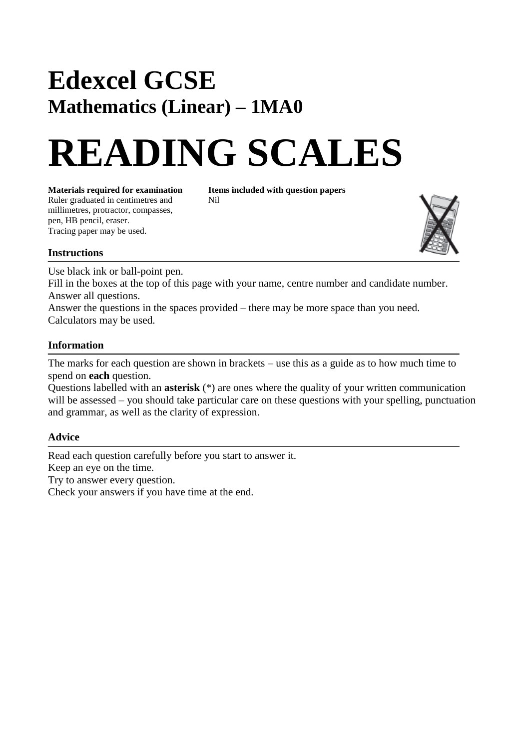## **Edexcel GCSE Mathematics (Linear) – 1MA0**

# **READING SCALES**

**Materials required for examination Items included with question papers**<br>Ruler graduated in centimetres and **Nil** Ruler graduated in centimetres and millimetres, protractor, compasses, pen, HB pencil, eraser. Tracing paper may be used.



#### **Instructions**

Use black ink or ball-point pen.

Fill in the boxes at the top of this page with your name, centre number and candidate number. Answer all questions.

Answer the questions in the spaces provided – there may be more space than you need. Calculators may be used.

#### **Information**

The marks for each question are shown in brackets – use this as a guide as to how much time to spend on **each** question.

Questions labelled with an **asterisk** (\*) are ones where the quality of your written communication will be assessed – you should take particular care on these questions with your spelling, punctuation and grammar, as well as the clarity of expression.

### **Advice**

Read each question carefully before you start to answer it. Keep an eye on the time. Try to answer every question. Check your answers if you have time at the end.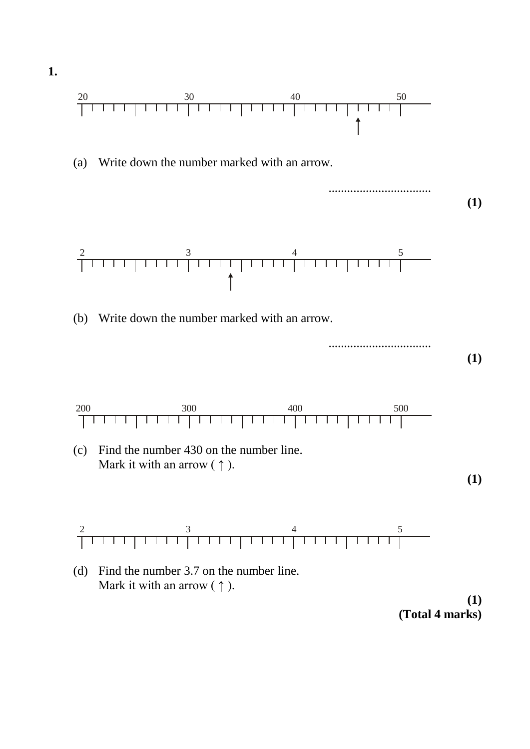

**(1) (Total 4 marks)**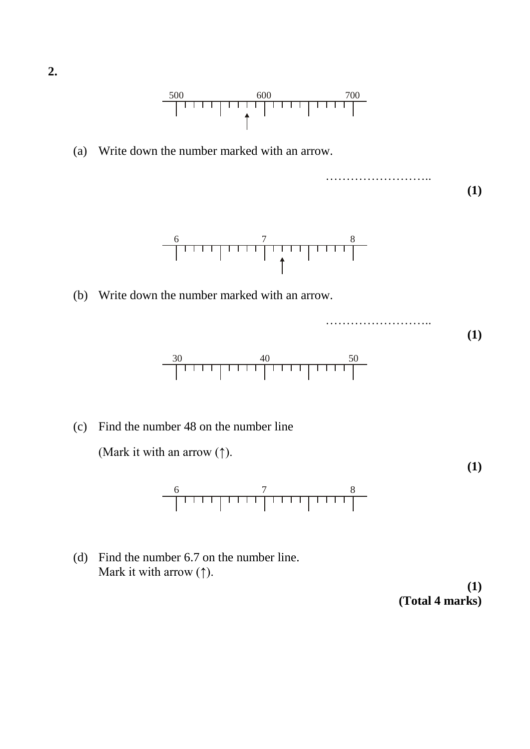$\begin{array}{c|c|c|c|c|c|c|c|c} \hline 500 & 600 & 700 \\ \hline & & & & & \\ \hline & & & & & \\ \hline & & & & & \\ \hline & & & & & \\ \hline & & & & & \\ \hline & & & & & \\ \hline & & & & & \\ \hline & & & & & \\ \hline \end{array}$ 

(a) Write down the number marked with an arrow.

…………………….. **(1)**



(b) Write down the number marked with an arrow.

…………………….. **(1)** 30 40 50

(c) Find the number 48 on the number line

(Mark it with an arrow  $(\uparrow)$ .



(d) Find the number 6.7 on the number line. Mark it with arrow  $(†)$ .

**(1) (Total 4 marks)**

**(1)**

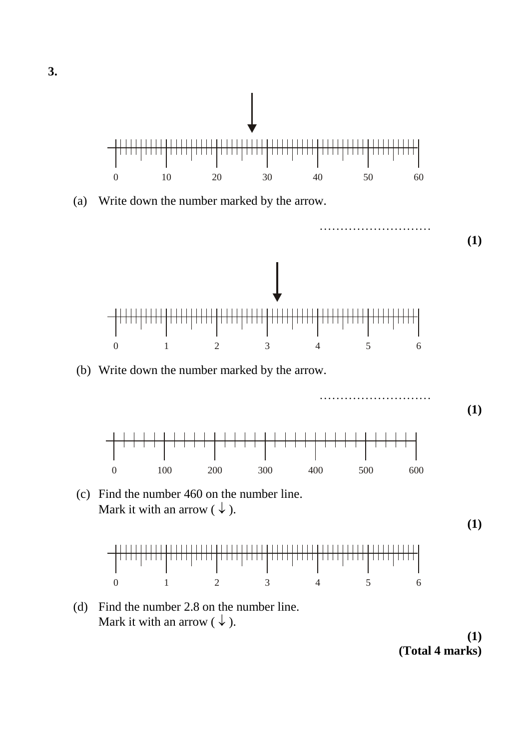

(a) Write down the number marked by the arrow.



**(1) (Total 4 marks)**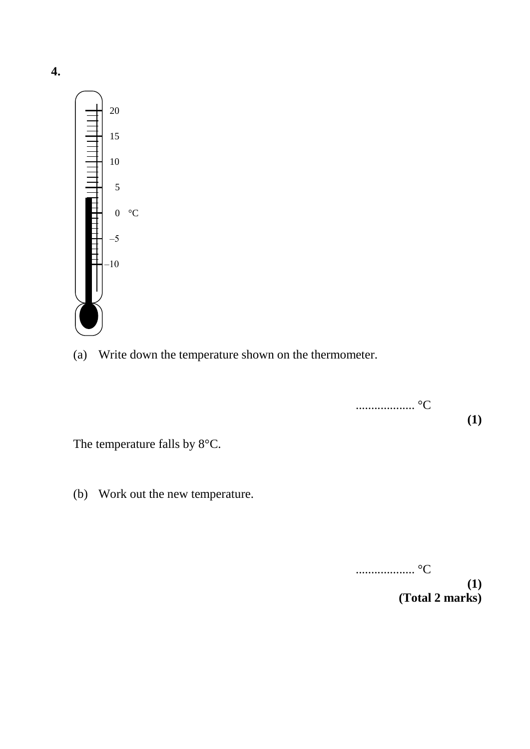

(a) Write down the temperature shown on the thermometer.

................... °C **(1)** The temperature falls by 8°C.

(b) Work out the new temperature.

................... °C **(1) (Total 2 marks)**

**4.**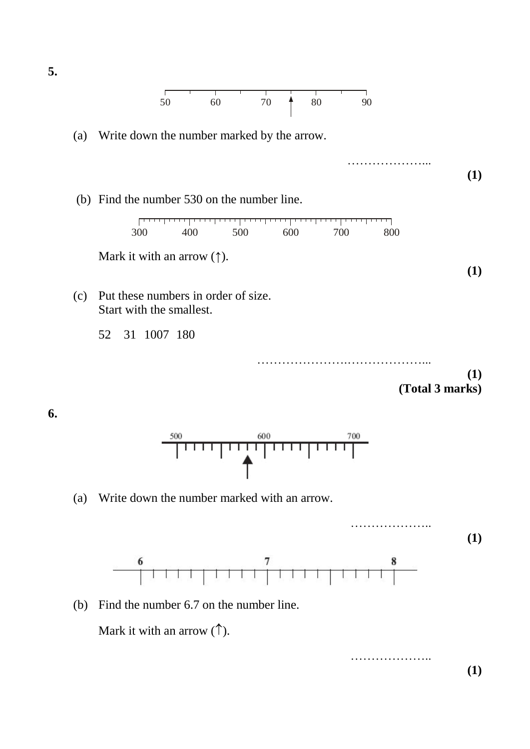

(a) Write down the number marked by the arrow.



| 300 | 400 | 500 | 600 | 700 | 800 |
|-----|-----|-----|-----|-----|-----|

Mark it with an arrow  $(†)$ .

- (c) Put these numbers in order of size. Start with the smallest.
	- 52 31 1007 180

………………….………………... **(1) (Total 3 marks)**

………………...

**(1)**

**(1)**

**6.**



(a) Write down the number marked with an arrow.



(b) Find the number 6.7 on the number line.

Mark it with an arrow  $(\uparrow)$ .

……………….. **(1)**

**5.**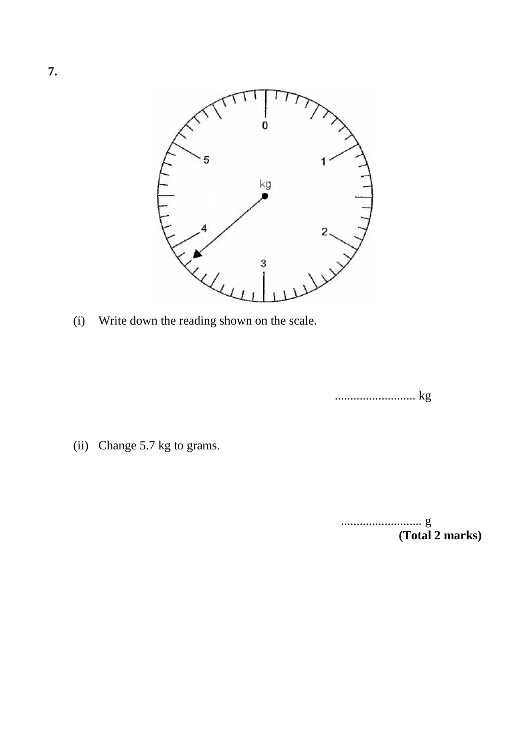

(i) Write down the reading shown on the scale.

.......................... kg

(ii) Change 5.7 kg to grams.

.......................... g **(Total 2 marks)**